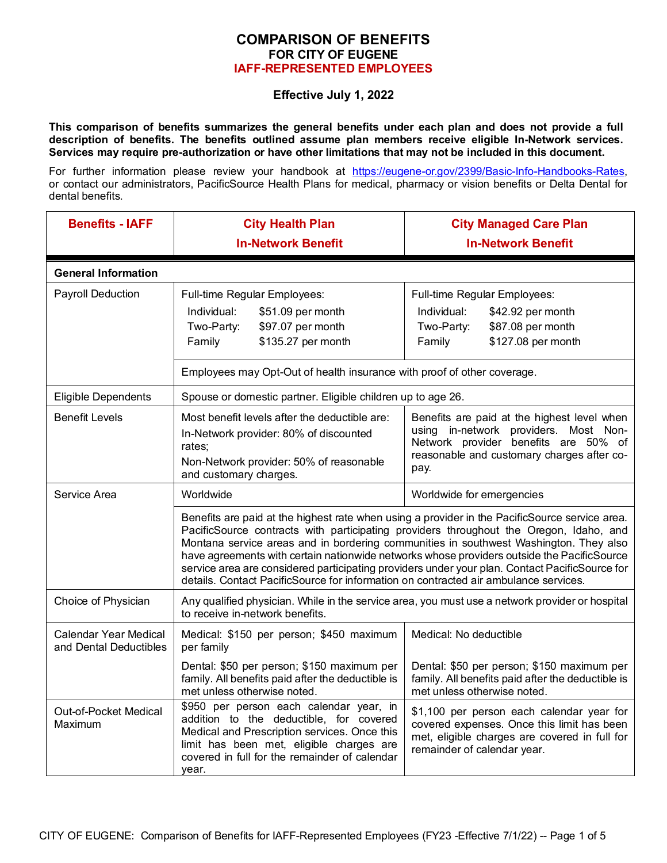## **COMPARISON OF BENEFITS FOR CITY OF EUGENE IAFF-REPRESENTED EMPLOYEES**

## **Effective July 1, 2022**

**This comparison of benefits summarizes the general benefits under each plan and does not provide a full description of benefits. The benefits outlined assume plan members receive eligible In-Network services. Services may require pre-authorization or have other limitations that may not be included in this document.** 

For further information please review your handbook at [https://eugene-or.gov/2399/Basic-Info-Handbooks-Rates,](https://eugene-or.gov/2399/Basic-Info-Handbooks-Rates) or contact our administrators, PacificSource Health Plans for medical, pharmacy or vision benefits or Delta Dental for dental benefits.

| <b>Benefits - IAFF</b>                                 | <b>City Health Plan</b><br><b>In-Network Benefit</b>                                                                                                                                                                                                                                                                                                                                                                                                                                                                                                                      | <b>City Managed Care Plan</b><br><b>In-Network Benefit</b>                                                                                                                         |  |
|--------------------------------------------------------|---------------------------------------------------------------------------------------------------------------------------------------------------------------------------------------------------------------------------------------------------------------------------------------------------------------------------------------------------------------------------------------------------------------------------------------------------------------------------------------------------------------------------------------------------------------------------|------------------------------------------------------------------------------------------------------------------------------------------------------------------------------------|--|
| <b>General Information</b>                             |                                                                                                                                                                                                                                                                                                                                                                                                                                                                                                                                                                           |                                                                                                                                                                                    |  |
| Payroll Deduction                                      | Full-time Regular Employees:<br>\$51.09 per month<br>Individual:<br>\$97.07 per month<br>Two-Party:<br>\$135.27 per month<br>Family<br>Employees may Opt-Out of health insurance with proof of other coverage.                                                                                                                                                                                                                                                                                                                                                            | Full-time Regular Employees:<br>Individual:<br>\$42.92 per month<br>\$87.08 per month<br>Two-Party:<br>\$127.08 per month<br>Family                                                |  |
| <b>Eligible Dependents</b>                             | Spouse or domestic partner. Eligible children up to age 26.                                                                                                                                                                                                                                                                                                                                                                                                                                                                                                               |                                                                                                                                                                                    |  |
| <b>Benefit Levels</b>                                  | Most benefit levels after the deductible are:<br>In-Network provider: 80% of discounted<br>rates;<br>Non-Network provider: 50% of reasonable<br>and customary charges.                                                                                                                                                                                                                                                                                                                                                                                                    | Benefits are paid at the highest level when<br>using in-network providers. Most Non-<br>Network provider benefits are 50% of<br>reasonable and customary charges after co-<br>pay. |  |
| Service Area                                           | Worldwide                                                                                                                                                                                                                                                                                                                                                                                                                                                                                                                                                                 | Worldwide for emergencies                                                                                                                                                          |  |
|                                                        | Benefits are paid at the highest rate when using a provider in the PacificSource service area.<br>PacificSource contracts with participating providers throughout the Oregon, Idaho, and<br>Montana service areas and in bordering communities in southwest Washington. They also<br>have agreements with certain nationwide networks whose providers outside the PacificSource<br>service area are considered participating providers under your plan. Contact PacificSource for<br>details. Contact PacificSource for information on contracted air ambulance services. |                                                                                                                                                                                    |  |
| Choice of Physician                                    | Any qualified physician. While in the service area, you must use a network provider or hospital<br>to receive in-network benefits.                                                                                                                                                                                                                                                                                                                                                                                                                                        |                                                                                                                                                                                    |  |
| <b>Calendar Year Medical</b><br>and Dental Deductibles | Medical: \$150 per person; \$450 maximum<br>per family                                                                                                                                                                                                                                                                                                                                                                                                                                                                                                                    | Medical: No deductible                                                                                                                                                             |  |
|                                                        | Dental: \$50 per person; \$150 maximum per<br>family. All benefits paid after the deductible is<br>met unless otherwise noted.                                                                                                                                                                                                                                                                                                                                                                                                                                            | Dental: \$50 per person; \$150 maximum per<br>family. All benefits paid after the deductible is<br>met unless otherwise noted.                                                     |  |
| Out-of-Pocket Medical<br>Maximum                       | \$950 per person each calendar year, in<br>addition to the deductible, for covered<br>Medical and Prescription services. Once this<br>limit has been met, eligible charges are<br>covered in full for the remainder of calendar<br>year.                                                                                                                                                                                                                                                                                                                                  | \$1,100 per person each calendar year for<br>covered expenses. Once this limit has been<br>met, eligible charges are covered in full for<br>remainder of calendar year.            |  |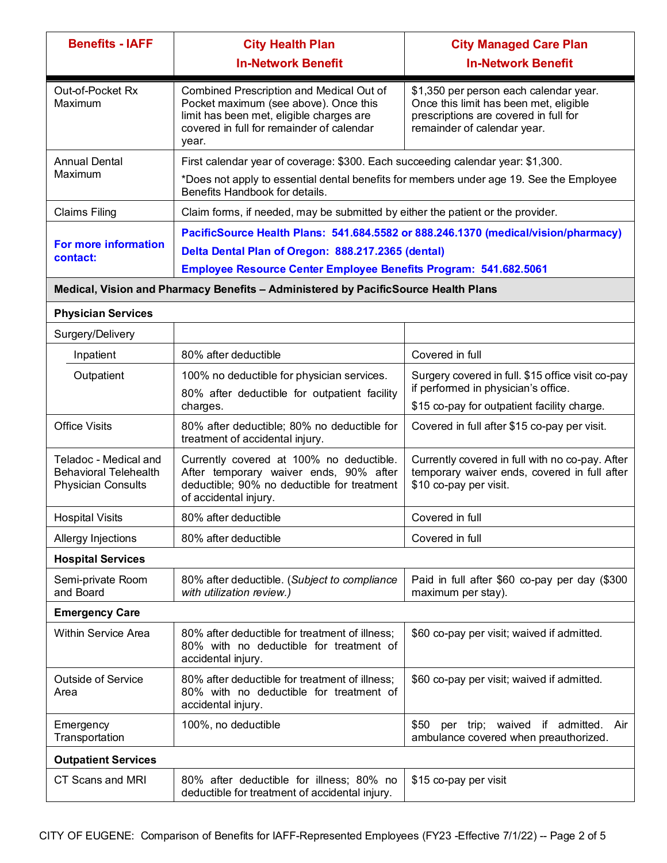| <b>Benefits - IAFF</b>                                                             | <b>City Health Plan</b>                                                                                                                                                             | <b>City Managed Care Plan</b>                                                                                                                            |
|------------------------------------------------------------------------------------|-------------------------------------------------------------------------------------------------------------------------------------------------------------------------------------|----------------------------------------------------------------------------------------------------------------------------------------------------------|
|                                                                                    | <b>In-Network Benefit</b>                                                                                                                                                           | <b>In-Network Benefit</b>                                                                                                                                |
| Out-of-Pocket Rx<br>Maximum                                                        | Combined Prescription and Medical Out of<br>Pocket maximum (see above). Once this<br>limit has been met, eligible charges are<br>covered in full for remainder of calendar<br>year. | \$1,350 per person each calendar year.<br>Once this limit has been met, eligible<br>prescriptions are covered in full for<br>remainder of calendar year. |
| <b>Annual Dental</b>                                                               | First calendar year of coverage: \$300. Each succeeding calendar year: \$1,300.                                                                                                     |                                                                                                                                                          |
| Maximum                                                                            | *Does not apply to essential dental benefits for members under age 19. See the Employee<br>Benefits Handbook for details.                                                           |                                                                                                                                                          |
| <b>Claims Filing</b>                                                               | Claim forms, if needed, may be submitted by either the patient or the provider.                                                                                                     |                                                                                                                                                          |
|                                                                                    | PacificSource Health Plans: 541.684.5582 or 888.246.1370 (medical/vision/pharmacy)                                                                                                  |                                                                                                                                                          |
| For more information<br>contact:                                                   | Delta Dental Plan of Oregon: 888.217.2365 (dental)                                                                                                                                  |                                                                                                                                                          |
|                                                                                    | Employee Resource Center Employee Benefits Program: 541.682.5061                                                                                                                    |                                                                                                                                                          |
|                                                                                    | Medical, Vision and Pharmacy Benefits - Administered by PacificSource Health Plans                                                                                                  |                                                                                                                                                          |
| <b>Physician Services</b>                                                          |                                                                                                                                                                                     |                                                                                                                                                          |
| Surgery/Delivery                                                                   |                                                                                                                                                                                     |                                                                                                                                                          |
| Inpatient                                                                          | 80% after deductible                                                                                                                                                                | Covered in full                                                                                                                                          |
| Outpatient                                                                         | 100% no deductible for physician services.<br>80% after deductible for outpatient facility                                                                                          | Surgery covered in full. \$15 office visit co-pay<br>if performed in physician's office.                                                                 |
|                                                                                    | charges.                                                                                                                                                                            | \$15 co-pay for outpatient facility charge.                                                                                                              |
| <b>Office Visits</b>                                                               | 80% after deductible; 80% no deductible for<br>treatment of accidental injury.                                                                                                      | Covered in full after \$15 co-pay per visit.                                                                                                             |
| Teladoc - Medical and<br><b>Behavioral Telehealth</b><br><b>Physician Consults</b> | Currently covered at 100% no deductible.<br>After temporary waiver ends, 90% after<br>deductible; 90% no deductible for treatment<br>of accidental injury.                          | Currently covered in full with no co-pay. After<br>temporary waiver ends, covered in full after<br>\$10 co-pay per visit.                                |
| <b>Hospital Visits</b>                                                             | 80% after deductible                                                                                                                                                                | Covered in full                                                                                                                                          |
| Allergy Injections                                                                 | 80% after deductible                                                                                                                                                                | Covered in full                                                                                                                                          |
| <b>Hospital Services</b>                                                           |                                                                                                                                                                                     |                                                                                                                                                          |
| Semi-private Room<br>and Board                                                     | 80% after deductible. (Subject to compliance<br>with utilization review.)                                                                                                           | Paid in full after \$60 co-pay per day (\$300<br>maximum per stay).                                                                                      |
| <b>Emergency Care</b>                                                              |                                                                                                                                                                                     |                                                                                                                                                          |
| Within Service Area                                                                | 80% after deductible for treatment of illness;<br>80% with no deductible for treatment of<br>accidental injury.                                                                     | \$60 co-pay per visit; waived if admitted.                                                                                                               |
| <b>Outside of Service</b><br>Area                                                  | 80% after deductible for treatment of illness;<br>80% with no deductible for treatment of<br>accidental injury.                                                                     | \$60 co-pay per visit; waived if admitted.                                                                                                               |
| Emergency<br>Transportation                                                        | 100%, no deductible                                                                                                                                                                 | \$50 per trip; waived if admitted. Air<br>ambulance covered when preauthorized.                                                                          |
| <b>Outpatient Services</b>                                                         |                                                                                                                                                                                     |                                                                                                                                                          |
| CT Scans and MRI                                                                   | 80% after deductible for illness; 80% no<br>deductible for treatment of accidental injury.                                                                                          | \$15 co-pay per visit                                                                                                                                    |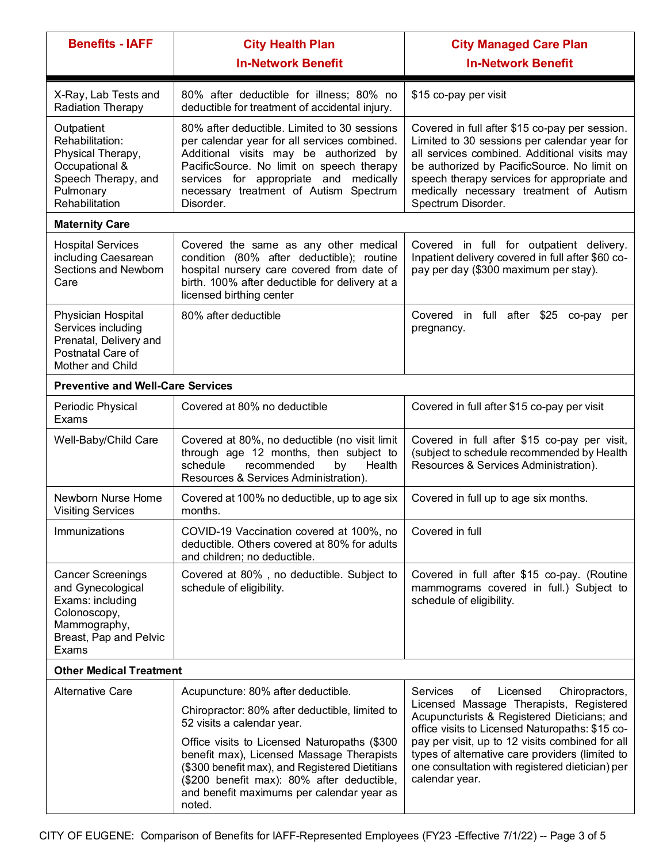| <b>Benefits - IAFF</b>                                                                                                               | <b>City Health Plan</b><br><b>In-Network Benefit</b>                                                                                                                                                                                                                                 | <b>City Managed Care Plan</b><br><b>In-Network Benefit</b>                                                                                                                                                                                                                                                           |
|--------------------------------------------------------------------------------------------------------------------------------------|--------------------------------------------------------------------------------------------------------------------------------------------------------------------------------------------------------------------------------------------------------------------------------------|----------------------------------------------------------------------------------------------------------------------------------------------------------------------------------------------------------------------------------------------------------------------------------------------------------------------|
| X-Ray, Lab Tests and<br>Radiation Therapy                                                                                            | 80% after deductible for illness; 80% no<br>deductible for treatment of accidental injury.                                                                                                                                                                                           | \$15 co-pay per visit                                                                                                                                                                                                                                                                                                |
| Outpatient<br>Rehabilitation:<br>Physical Therapy,<br>Occupational &<br>Speech Therapy, and<br>Pulmonary<br>Rehabilitation           | 80% after deductible. Limited to 30 sessions<br>per calendar year for all services combined.<br>Additional visits may be authorized by<br>PacificSource. No limit on speech therapy<br>services for appropriate and medically<br>necessary treatment of Autism Spectrum<br>Disorder. | Covered in full after \$15 co-pay per session.<br>Limited to 30 sessions per calendar year for<br>all services combined. Additional visits may<br>be authorized by PacificSource. No limit on<br>speech therapy services for appropriate and<br>medically necessary treatment of Autism<br>Spectrum Disorder.        |
| <b>Maternity Care</b>                                                                                                                |                                                                                                                                                                                                                                                                                      |                                                                                                                                                                                                                                                                                                                      |
| <b>Hospital Services</b><br>including Caesarean<br>Sections and Newborn<br>Care                                                      | Covered the same as any other medical<br>condition (80% after deductible); routine<br>hospital nursery care covered from date of<br>birth. 100% after deductible for delivery at a<br>licensed birthing center                                                                       | Covered in full for outpatient delivery.<br>Inpatient delivery covered in full after \$60 co-<br>pay per day (\$300 maximum per stay).                                                                                                                                                                               |
| Physician Hospital<br>Services including<br>Prenatal, Delivery and<br>Postnatal Care of<br>Mother and Child                          | 80% after deductible                                                                                                                                                                                                                                                                 | Covered in full after \$25<br>co-pay<br>per<br>pregnancy.                                                                                                                                                                                                                                                            |
| <b>Preventive and Well-Care Services</b>                                                                                             |                                                                                                                                                                                                                                                                                      |                                                                                                                                                                                                                                                                                                                      |
| Periodic Physical<br>Exams                                                                                                           | Covered at 80% no deductible                                                                                                                                                                                                                                                         | Covered in full after \$15 co-pay per visit                                                                                                                                                                                                                                                                          |
| Well-Baby/Child Care                                                                                                                 | Covered at 80%, no deductible (no visit limit<br>through age 12 months, then subject to<br>schedule<br>recommended<br>Health<br>by<br>Resources & Services Administration).                                                                                                          | Covered in full after \$15 co-pay per visit,<br>(subject to schedule recommended by Health<br>Resources & Services Administration).                                                                                                                                                                                  |
| Newborn Nurse Home<br><b>Visiting Services</b>                                                                                       | Covered at 100% no deductible, up to age six<br>months.                                                                                                                                                                                                                              | Covered in full up to age six months.                                                                                                                                                                                                                                                                                |
| Immunizations                                                                                                                        | COVID-19 Vaccination covered at 100%, no<br>deductible. Others covered at 80% for adults<br>and children; no deductible.                                                                                                                                                             | Covered in full                                                                                                                                                                                                                                                                                                      |
| <b>Cancer Screenings</b><br>and Gynecological<br>Exams: including<br>Colonoscopy,<br>Mammography,<br>Breast, Pap and Pelvic<br>Exams | Covered at 80%, no deductible. Subject to<br>schedule of eligibility.                                                                                                                                                                                                                | Covered in full after \$15 co-pay. (Routine<br>mammograms covered in full.) Subject to<br>schedule of eligibility.                                                                                                                                                                                                   |
| <b>Other Medical Treatment</b>                                                                                                       |                                                                                                                                                                                                                                                                                      |                                                                                                                                                                                                                                                                                                                      |
| <b>Alternative Care</b>                                                                                                              | Acupuncture: 80% after deductible.                                                                                                                                                                                                                                                   | Services<br>Licensed<br>οf<br>Chiropractors,                                                                                                                                                                                                                                                                         |
|                                                                                                                                      | Chiropractor: 80% after deductible, limited to<br>52 visits a calendar year.                                                                                                                                                                                                         | Licensed Massage Therapists, Registered<br>Acupuncturists & Registered Dieticians; and<br>office visits to Licensed Naturopaths: \$15 co-<br>pay per visit, up to 12 visits combined for all<br>types of alternative care providers (limited to<br>one consultation with registered dietician) per<br>calendar year. |
|                                                                                                                                      | Office visits to Licensed Naturopaths (\$300<br>benefit max), Licensed Massage Therapists<br>(\$300 benefit max), and Registered Dietitians<br>(\$200 benefit max): 80% after deductible,<br>and benefit maximums per calendar year as<br>noted.                                     |                                                                                                                                                                                                                                                                                                                      |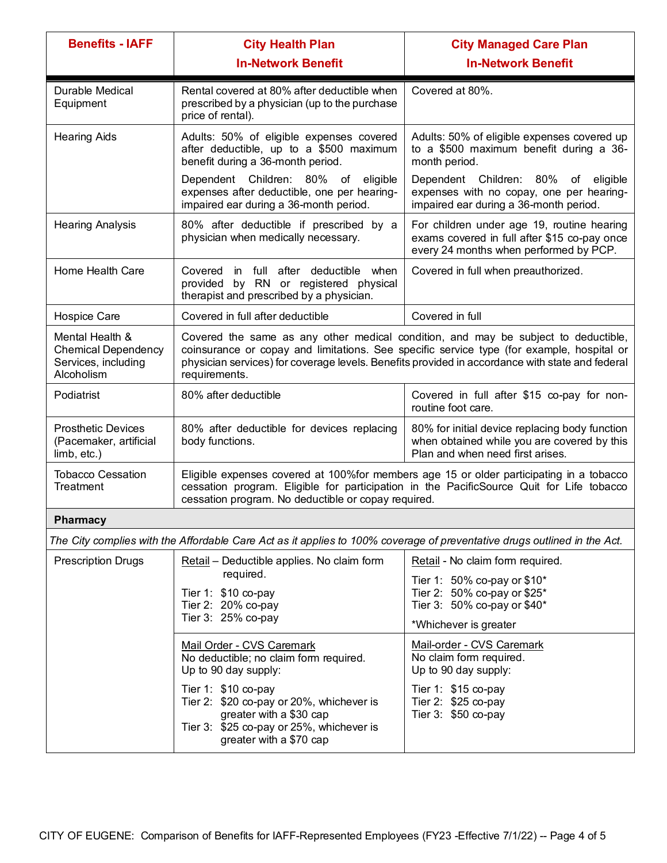| <b>Benefits - IAFF</b>                                                             | <b>City Health Plan</b>                                                                                                                                                                                                                                                                             | <b>City Managed Care Plan</b>                                                                                                        |
|------------------------------------------------------------------------------------|-----------------------------------------------------------------------------------------------------------------------------------------------------------------------------------------------------------------------------------------------------------------------------------------------------|--------------------------------------------------------------------------------------------------------------------------------------|
|                                                                                    | <b>In-Network Benefit</b>                                                                                                                                                                                                                                                                           | <b>In-Network Benefit</b>                                                                                                            |
| Durable Medical<br>Equipment                                                       | Rental covered at 80% after deductible when<br>prescribed by a physician (up to the purchase<br>price of rental).                                                                                                                                                                                   | Covered at 80%.                                                                                                                      |
| <b>Hearing Aids</b>                                                                | Adults: 50% of eligible expenses covered<br>after deductible, up to a \$500 maximum<br>benefit during a 36-month period.                                                                                                                                                                            | Adults: 50% of eligible expenses covered up<br>to a \$500 maximum benefit during a 36-<br>month period.                              |
|                                                                                    | Dependent Children: 80% of eligible<br>expenses after deductible, one per hearing-<br>impaired ear during a 36-month period.                                                                                                                                                                        | Dependent Children: 80% of<br>eligible<br>expenses with no copay, one per hearing-<br>impaired ear during a 36-month period.         |
| <b>Hearing Analysis</b>                                                            | 80% after deductible if prescribed by a<br>physician when medically necessary.                                                                                                                                                                                                                      | For children under age 19, routine hearing<br>exams covered in full after \$15 co-pay once<br>every 24 months when performed by PCP. |
| Home Health Care                                                                   | in full after deductible when<br>Covered<br>by RN or registered physical<br>provided<br>therapist and prescribed by a physician.                                                                                                                                                                    | Covered in full when preauthorized.                                                                                                  |
| Hospice Care                                                                       | Covered in full after deductible                                                                                                                                                                                                                                                                    | Covered in full                                                                                                                      |
| Mental Health &<br><b>Chemical Dependency</b><br>Services, including<br>Alcoholism | Covered the same as any other medical condition, and may be subject to deductible,<br>coinsurance or copay and limitations. See specific service type (for example, hospital or<br>physician services) for coverage levels. Benefits provided in accordance with state and federal<br>requirements. |                                                                                                                                      |
| Podiatrist                                                                         | 80% after deductible                                                                                                                                                                                                                                                                                | Covered in full after \$15 co-pay for non-<br>routine foot care.                                                                     |
| <b>Prosthetic Devices</b><br>(Pacemaker, artificial<br>limb, etc.)                 | 80% after deductible for devices replacing<br>body functions.                                                                                                                                                                                                                                       | 80% for initial device replacing body function<br>when obtained while you are covered by this<br>Plan and when need first arises.    |
| <b>Tobacco Cessation</b><br>Treatment                                              | Eligible expenses covered at 100% for members age 15 or older participating in a tobacco<br>cessation program. Eligible for participation in the PacificSource Quit for Life tobacco<br>cessation program. No deductible or copay required.                                                         |                                                                                                                                      |
| <b>Pharmacy</b>                                                                    |                                                                                                                                                                                                                                                                                                     |                                                                                                                                      |
|                                                                                    | The City complies with the Affordable Care Act as it applies to 100% coverage of preventative drugs outlined in the Act.                                                                                                                                                                            |                                                                                                                                      |
| <b>Prescription Drugs</b>                                                          | Retail - Deductible applies. No claim form                                                                                                                                                                                                                                                          | Retail - No claim form required.                                                                                                     |
|                                                                                    | required.<br>Tier 1: $$10 co-pay$                                                                                                                                                                                                                                                                   | Tier 1: 50% co-pay or $$10^*$<br>Tier 2: 50% co-pay or \$25*                                                                         |
|                                                                                    | Tier 2: 20% co-pay<br>Tier 3: 25% co-pay                                                                                                                                                                                                                                                            | Tier 3: $50\%$ co-pay or \$40*                                                                                                       |
|                                                                                    |                                                                                                                                                                                                                                                                                                     | *Whichever is greater                                                                                                                |
|                                                                                    | Mail Order - CVS Caremark<br>No deductible; no claim form required.<br>Up to 90 day supply:                                                                                                                                                                                                         | Mail-order - CVS Caremark<br>No claim form required.<br>Up to 90 day supply:                                                         |
|                                                                                    | Tier 1: \$10 co-pay                                                                                                                                                                                                                                                                                 | Tier 1: $$15$ co-pay                                                                                                                 |
|                                                                                    | Tier 2: \$20 co-pay or 20%, whichever is<br>greater with a \$30 cap<br>Tier 3: \$25 co-pay or 25%, whichever is<br>greater with a \$70 cap                                                                                                                                                          | Tier 2: \$25 co-pay<br>Tier 3: \$50 co-pay                                                                                           |